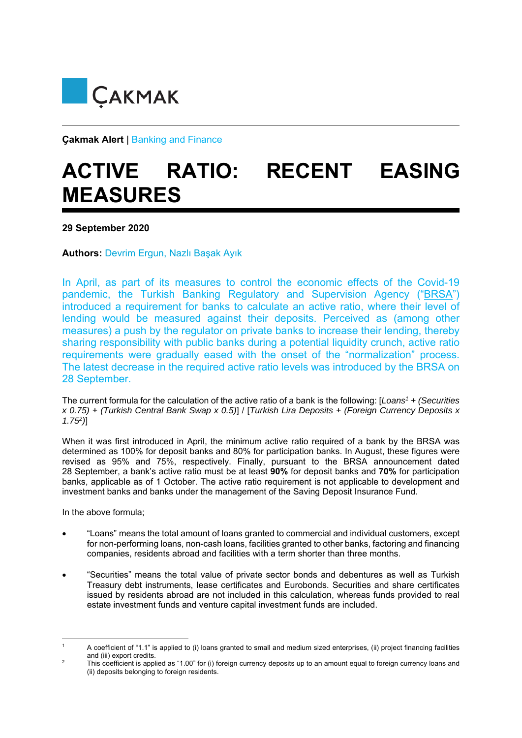

**Çakmak Alert** | Banking and Finance

## **ACTIVE RATIO: RECENT EASING MEASURES**

**29 September 2020** 

**Authors:** Devrim Ergun, Nazlı Başak Ayık

In April, as part of its measures to control the economic effects of the Covid-19 pandemic, the Turkish Banking Regulatory and Supervision Agency ("BRSA") introduced a requirement for banks to calculate an active ratio, where their level of lending would be measured against their deposits. Perceived as (among other measures) a push by the regulator on private banks to increase their lending, thereby sharing responsibility with public banks during a potential liquidity crunch, active ratio requirements were gradually eased with the onset of the "normalization" process. The latest decrease in the required active ratio levels was introduced by the BRSA on 28 September.

The current formula for the calculation of the active ratio of a bank is the following: [*Loans1* + *(Securities x 0.75)* + *(Turkish Central Bank Swap x 0.5)*] / [*Turkish Lira Deposits* + *(Foreign Currency Deposits x 1.752)*]

When it was first introduced in April, the minimum active ratio required of a bank by the BRSA was determined as 100% for deposit banks and 80% for participation banks. In August, these figures were revised as 95% and 75%, respectively. Finally, pursuant to the BRSA announcement dated 28 September, a bank's active ratio must be at least **90%** for deposit banks and **70%** for participation banks, applicable as of 1 October. The active ratio requirement is not applicable to development and investment banks and banks under the management of the Saving Deposit Insurance Fund.

In the above formula;

- "Loans" means the total amount of loans granted to commercial and individual customers, except for non-performing loans, non-cash loans, facilities granted to other banks, factoring and financing companies, residents abroad and facilities with a term shorter than three months.
- "Securities" means the total value of private sector bonds and debentures as well as Turkish Treasury debt instruments, lease certificates and Eurobonds. Securities and share certificates issued by residents abroad are not included in this calculation, whereas funds provided to real estate investment funds and venture capital investment funds are included.

<sup>1</sup> A coefficient of "1.1" is applied to (i) loans granted to small and medium sized enterprises, (ii) project financing facilities and (iii) export credits.

<sup>2</sup> This coefficient is applied as "1.00" for (i) foreign currency deposits up to an amount equal to foreign currency loans and (ii) deposits belonging to foreign residents.